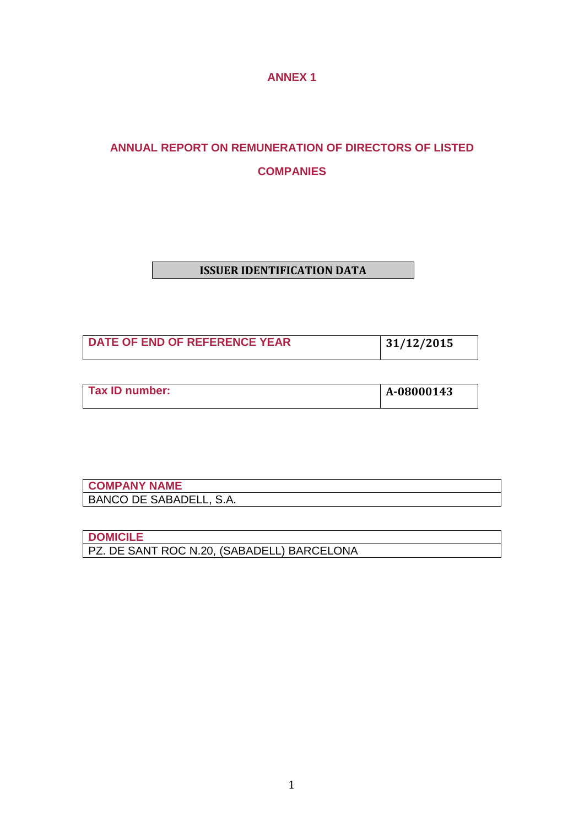**ANNEX 1** 

# **ANNUAL REPORT ON REMUNERATION OF DIRECTORS OF LISTED COMPANIES**

# **ISSUER IDENTIFICATION DATA**

| DATE OF END OF REFERENCE YEAR | 31/12/2015 |
|-------------------------------|------------|

| Tax ID number: | A-08000143 |
|----------------|------------|
|                |            |

| <b>COMPANY NAME</b>     |  |
|-------------------------|--|
| BANCO DE SABADELL, S.A. |  |

**DOMICILE** PZ. DE SANT ROC N.20, (SABADELL) BARCELONA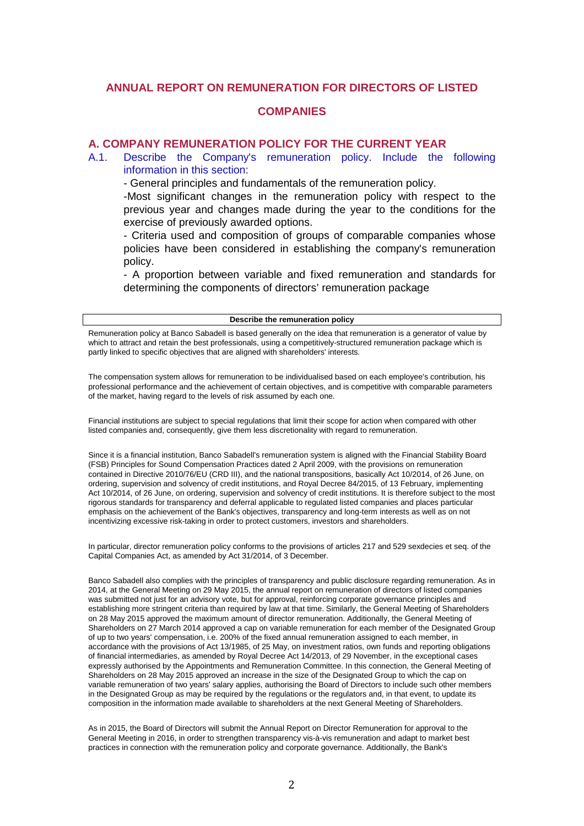### **ANNUAL REPORT ON REMUNERATION FOR DIRECTORS OF LISTED**

#### **COMPANIES**

#### **A. COMPANY REMUNERATION POLICY FOR THE CURRENT YEAR**

A.1. Describe the Company's remuneration policy. Include the following information in this section:

- General principles and fundamentals of the remuneration policy.

-Most significant changes in the remuneration policy with respect to the previous year and changes made during the year to the conditions for the exercise of previously awarded options.

- Criteria used and composition of groups of comparable companies whose policies have been considered in establishing the company's remuneration policy.

- A proportion between variable and fixed remuneration and standards for determining the components of directors' remuneration package

#### **Describe the remuneration policy**

Remuneration policy at Banco Sabadell is based generally on the idea that remuneration is a generator of value by which to attract and retain the best professionals, using a competitively-structured remuneration package which is partly linked to specific objectives that are aligned with shareholders' interests.

The compensation system allows for remuneration to be individualised based on each employee's contribution, his professional performance and the achievement of certain objectives, and is competitive with comparable parameters of the market, having regard to the levels of risk assumed by each one.

Financial institutions are subject to special regulations that limit their scope for action when compared with other listed companies and, consequently, give them less discretionality with regard to remuneration.

Since it is a financial institution, Banco Sabadell's remuneration system is aligned with the Financial Stability Board (FSB) Principles for Sound Compensation Practices dated 2 April 2009, with the provisions on remuneration contained in Directive 2010/76/EU (CRD III), and the national transpositions, basically Act 10/2014, of 26 June, on ordering, supervision and solvency of credit institutions, and Royal Decree 84/2015, of 13 February, implementing Act 10/2014, of 26 June, on ordering, supervision and solvency of credit institutions. It is therefore subject to the most rigorous standards for transparency and deferral applicable to regulated listed companies and places particular emphasis on the achievement of the Bank's objectives, transparency and long-term interests as well as on not incentivizing excessive risk-taking in order to protect customers, investors and shareholders.

In particular, director remuneration policy conforms to the provisions of articles 217 and 529 sexdecies et seq. of the Capital Companies Act, as amended by Act 31/2014, of 3 December.

Banco Sabadell also complies with the principles of transparency and public disclosure regarding remuneration. As in 2014, at the General Meeting on 29 May 2015, the annual report on remuneration of directors of listed companies was submitted not just for an advisory vote, but for approval, reinforcing corporate governance principles and establishing more stringent criteria than required by law at that time. Similarly, the General Meeting of Shareholders on 28 May 2015 approved the maximum amount of director remuneration. Additionally, the General Meeting of Shareholders on 27 March 2014 approved a cap on variable remuneration for each member of the Designated Group of up to two years' compensation, i.e. 200% of the fixed annual remuneration assigned to each member, in accordance with the provisions of Act 13/1985, of 25 May, on investment ratios, own funds and reporting obligations of financial intermediaries, as amended by Royal Decree Act 14/2013, of 29 November, in the exceptional cases expressly authorised by the Appointments and Remuneration Committee. In this connection, the General Meeting of Shareholders on 28 May 2015 approved an increase in the size of the Designated Group to which the cap on variable remuneration of two years' salary applies, authorising the Board of Directors to include such other members in the Designated Group as may be required by the regulations or the regulators and, in that event, to update its composition in the information made available to shareholders at the next General Meeting of Shareholders.

As in 2015, the Board of Directors will submit the Annual Report on Director Remuneration for approval to the General Meeting in 2016, in order to strengthen transparency vis-à-vis remuneration and adapt to market best practices in connection with the remuneration policy and corporate governance. Additionally, the Bank's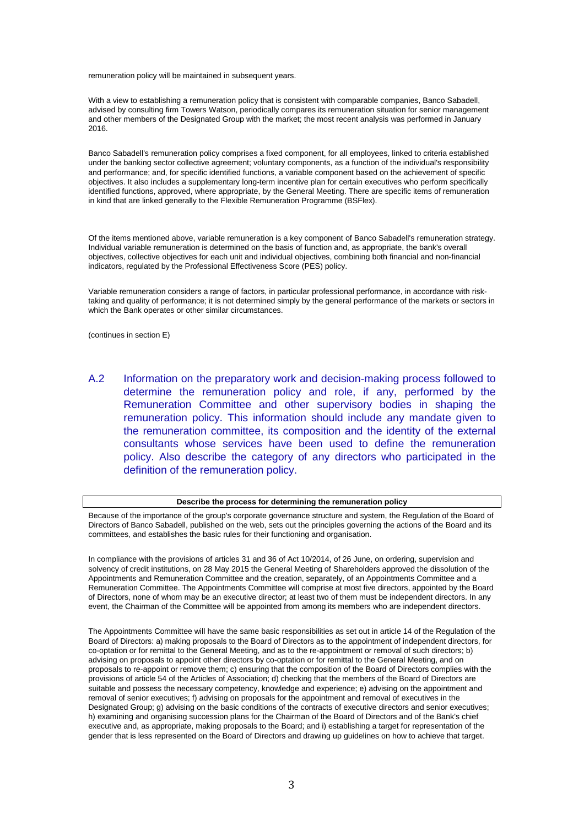remuneration policy will be maintained in subsequent years.

With a view to establishing a remuneration policy that is consistent with comparable companies, Banco Sabadell, advised by consulting firm Towers Watson, periodically compares its remuneration situation for senior management and other members of the Designated Group with the market; the most recent analysis was performed in January 2016.

Banco Sabadell's remuneration policy comprises a fixed component, for all employees, linked to criteria established under the banking sector collective agreement; voluntary components, as a function of the individual's responsibility and performance; and, for specific identified functions, a variable component based on the achievement of specific objectives. It also includes a supplementary long-term incentive plan for certain executives who perform specifically identified functions, approved, where appropriate, by the General Meeting. There are specific items of remuneration in kind that are linked generally to the Flexible Remuneration Programme (BSFlex).

Of the items mentioned above, variable remuneration is a key component of Banco Sabadell's remuneration strategy. Individual variable remuneration is determined on the basis of function and, as appropriate, the bank's overall objectives, collective objectives for each unit and individual objectives, combining both financial and non-financial indicators, regulated by the Professional Effectiveness Score (PES) policy.

Variable remuneration considers a range of factors, in particular professional performance, in accordance with risktaking and quality of performance; it is not determined simply by the general performance of the markets or sectors in which the Bank operates or other similar circumstances.

(continues in section E)

A.2 Information on the preparatory work and decision-making process followed to determine the remuneration policy and role, if any, performed by the Remuneration Committee and other supervisory bodies in shaping the remuneration policy. This information should include any mandate given to the remuneration committee, its composition and the identity of the external consultants whose services have been used to define the remuneration policy. Also describe the category of any directors who participated in the definition of the remuneration policy.

#### **Describe the process for determining the remuneration policy**

Because of the importance of the group's corporate governance structure and system, the Regulation of the Board of Directors of Banco Sabadell, published on the web, sets out the principles governing the actions of the Board and its committees, and establishes the basic rules for their functioning and organisation.

In compliance with the provisions of articles 31 and 36 of Act 10/2014, of 26 June, on ordering, supervision and solvency of credit institutions, on 28 May 2015 the General Meeting of Shareholders approved the dissolution of the Appointments and Remuneration Committee and the creation, separately, of an Appointments Committee and a Remuneration Committee. The Appointments Committee will comprise at most five directors, appointed by the Board of Directors, none of whom may be an executive director; at least two of them must be independent directors. In any event, the Chairman of the Committee will be appointed from among its members who are independent directors.

The Appointments Committee will have the same basic responsibilities as set out in article 14 of the Regulation of the Board of Directors: a) making proposals to the Board of Directors as to the appointment of independent directors, for co-optation or for remittal to the General Meeting, and as to the re-appointment or removal of such directors; b) advising on proposals to appoint other directors by co-optation or for remittal to the General Meeting, and on proposals to re-appoint or remove them; c) ensuring that the composition of the Board of Directors complies with the provisions of article 54 of the Articles of Association; d) checking that the members of the Board of Directors are suitable and possess the necessary competency, knowledge and experience; e) advising on the appointment and removal of senior executives; f) advising on proposals for the appointment and removal of executives in the Designated Group; g) advising on the basic conditions of the contracts of executive directors and senior executives; h) examining and organising succession plans for the Chairman of the Board of Directors and of the Bank's chief executive and, as appropriate, making proposals to the Board; and i) establishing a target for representation of the gender that is less represented on the Board of Directors and drawing up guidelines on how to achieve that target.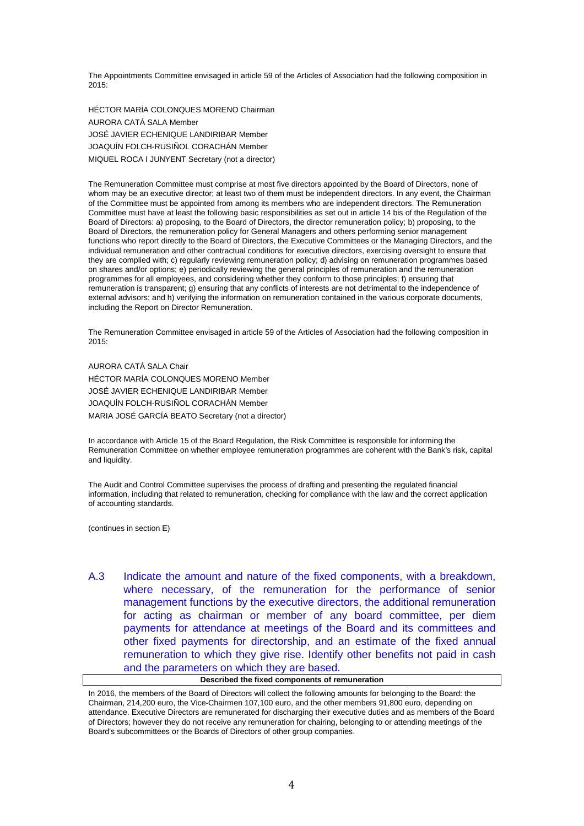The Appointments Committee envisaged in article 59 of the Articles of Association had the following composition in 2015:

HÉCTOR MARÍA COLONQUES MORENO Chairman AURORA CATÁ SALA Member JOSÉ JAVIER ECHENIQUE LANDIRIBAR Member JOAQUÍN FOLCH-RUSIÑOL CORACHÁN Member MIQUEL ROCA I JUNYENT Secretary (not a director)

The Remuneration Committee must comprise at most five directors appointed by the Board of Directors, none of whom may be an executive director; at least two of them must be independent directors. In any event, the Chairman of the Committee must be appointed from among its members who are independent directors. The Remuneration Committee must have at least the following basic responsibilities as set out in article 14 bis of the Regulation of the Board of Directors: a) proposing, to the Board of Directors, the director remuneration policy; b) proposing, to the Board of Directors, the remuneration policy for General Managers and others performing senior management functions who report directly to the Board of Directors, the Executive Committees or the Managing Directors, and the individual remuneration and other contractual conditions for executive directors, exercising oversight to ensure that they are complied with; c) regularly reviewing remuneration policy; d) advising on remuneration programmes based on shares and/or options; e) periodically reviewing the general principles of remuneration and the remuneration programmes for all employees, and considering whether they conform to those principles; f) ensuring that remuneration is transparent; g) ensuring that any conflicts of interests are not detrimental to the independence of external advisors; and h) verifying the information on remuneration contained in the various corporate documents, including the Report on Director Remuneration.

The Remuneration Committee envisaged in article 59 of the Articles of Association had the following composition in 2015:

AURORA CATÁ SALA Chair HÉCTOR MARÍA COLONQUES MORENO Member JOSÉ JAVIER ECHENIQUE LANDIRIBAR Member JOAQUÍN FOLCH-RUSIÑOL CORACHÁN Member MARIA JOSÉ GARCÍA BEATO Secretary (not a director)

In accordance with Article 15 of the Board Regulation, the Risk Committee is responsible for informing the Remuneration Committee on whether employee remuneration programmes are coherent with the Bank's risk, capital and liquidity.

The Audit and Control Committee supervises the process of drafting and presenting the regulated financial information, including that related to remuneration, checking for compliance with the law and the correct application of accounting standards.

(continues in section E)

A.3 Indicate the amount and nature of the fixed components, with a breakdown, where necessary, of the remuneration for the performance of senior management functions by the executive directors, the additional remuneration for acting as chairman or member of any board committee, per diem payments for attendance at meetings of the Board and its committees and other fixed payments for directorship, and an estimate of the fixed annual remuneration to which they give rise. Identify other benefits not paid in cash and the parameters on which they are based.

#### **Described the fixed components of remuneration**

In 2016, the members of the Board of Directors will collect the following amounts for belonging to the Board: the Chairman, 214,200 euro, the Vice-Chairmen 107,100 euro, and the other members 91,800 euro, depending on attendance. Executive Directors are remunerated for discharging their executive duties and as members of the Board of Directors; however they do not receive any remuneration for chairing, belonging to or attending meetings of the Board's subcommittees or the Boards of Directors of other group companies.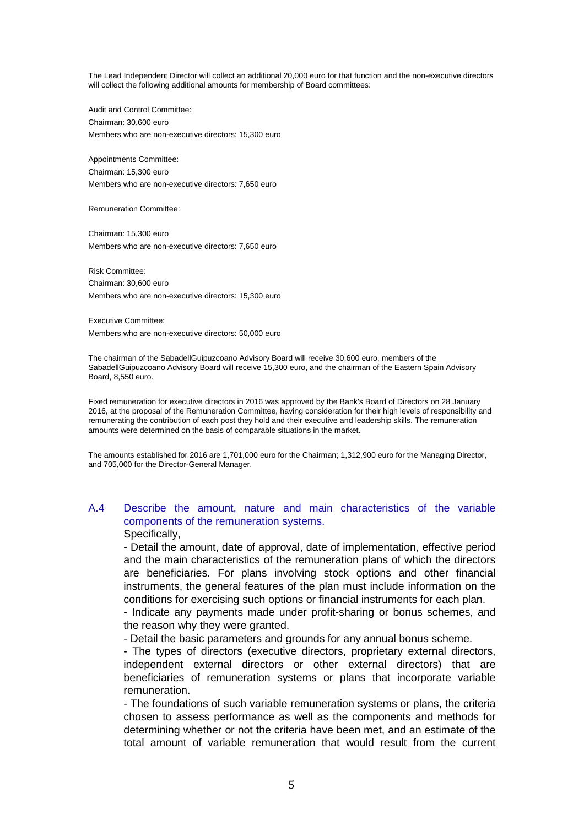The Lead Independent Director will collect an additional 20,000 euro for that function and the non-executive directors will collect the following additional amounts for membership of Board committees:

Audit and Control Committee: Chairman: 30,600 euro Members who are non-executive directors: 15,300 euro

Appointments Committee: Chairman: 15,300 euro Members who are non-executive directors: 7,650 euro

Remuneration Committee:

Chairman: 15,300 euro Members who are non-executive directors: 7,650 euro

Risk Committee: Chairman: 30,600 euro Members who are non-executive directors: 15,300 euro

Executive Committee:

Members who are non-executive directors: 50,000 euro

The chairman of the SabadellGuipuzcoano Advisory Board will receive 30,600 euro, members of the SabadellGuipuzcoano Advisory Board will receive 15,300 euro, and the chairman of the Eastern Spain Advisory Board, 8,550 euro.

Fixed remuneration for executive directors in 2016 was approved by the Bank's Board of Directors on 28 January 2016, at the proposal of the Remuneration Committee, having consideration for their high levels of responsibility and remunerating the contribution of each post they hold and their executive and leadership skills. The remuneration amounts were determined on the basis of comparable situations in the market.

The amounts established for 2016 are 1,701,000 euro for the Chairman; 1,312,900 euro for the Managing Director, and 705,000 for the Director-General Manager.

# A.4 Describe the amount, nature and main characteristics of the variable components of the remuneration systems.

Specifically,

- Detail the amount, date of approval, date of implementation, effective period and the main characteristics of the remuneration plans of which the directors are beneficiaries. For plans involving stock options and other financial instruments, the general features of the plan must include information on the conditions for exercising such options or financial instruments for each plan.

- Indicate any payments made under profit-sharing or bonus schemes, and the reason why they were granted.

- Detail the basic parameters and grounds for any annual bonus scheme.

- The types of directors (executive directors, proprietary external directors, independent external directors or other external directors) that are beneficiaries of remuneration systems or plans that incorporate variable remuneration.

- The foundations of such variable remuneration systems or plans, the criteria chosen to assess performance as well as the components and methods for determining whether or not the criteria have been met, and an estimate of the total amount of variable remuneration that would result from the current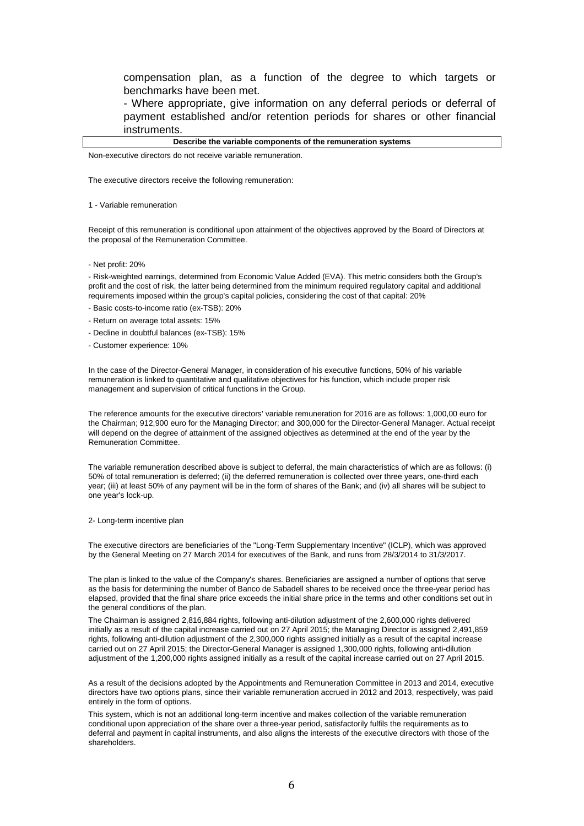compensation plan, as a function of the degree to which targets or benchmarks have been met.

- Where appropriate, give information on any deferral periods or deferral of payment established and/or retention periods for shares or other financial instruments.

#### **Describe the variable components of the remuneration systems**

Non-executive directors do not receive variable remuneration.

The executive directors receive the following remuneration:

1 - Variable remuneration

Receipt of this remuneration is conditional upon attainment of the objectives approved by the Board of Directors at the proposal of the Remuneration Committee.

- Net profit: 20%

- Risk-weighted earnings, determined from Economic Value Added (EVA). This metric considers both the Group's profit and the cost of risk, the latter being determined from the minimum required regulatory capital and additional requirements imposed within the group's capital policies, considering the cost of that capital: 20%

- Basic costs-to-income ratio (ex-TSB): 20%
- Return on average total assets: 15%
- Decline in doubtful balances (ex-TSB): 15%
- Customer experience: 10%

In the case of the Director-General Manager, in consideration of his executive functions, 50% of his variable remuneration is linked to quantitative and qualitative objectives for his function, which include proper risk management and supervision of critical functions in the Group.

The reference amounts for the executive directors' variable remuneration for 2016 are as follows: 1,000,00 euro for the Chairman; 912,900 euro for the Managing Director; and 300,000 for the Director-General Manager. Actual receipt will depend on the degree of attainment of the assigned objectives as determined at the end of the year by the Remuneration Committee.

The variable remuneration described above is subject to deferral, the main characteristics of which are as follows: (i) 50% of total remuneration is deferred; (ii) the deferred remuneration is collected over three years, one-third each year; (iii) at least 50% of any payment will be in the form of shares of the Bank; and (iv) all shares will be subject to one year's lock-up.

2- Long-term incentive plan

The executive directors are beneficiaries of the "Long-Term Supplementary Incentive" (ICLP), which was approved by the General Meeting on 27 March 2014 for executives of the Bank, and runs from 28/3/2014 to 31/3/2017.

The plan is linked to the value of the Company's shares. Beneficiaries are assigned a number of options that serve as the basis for determining the number of Banco de Sabadell shares to be received once the three-year period has elapsed, provided that the final share price exceeds the initial share price in the terms and other conditions set out in the general conditions of the plan.

The Chairman is assigned 2,816,884 rights, following anti-dilution adjustment of the 2,600,000 rights delivered initially as a result of the capital increase carried out on 27 April 2015; the Managing Director is assigned 2,491,859 rights, following anti-dilution adjustment of the 2,300,000 rights assigned initially as a result of the capital increase carried out on 27 April 2015; the Director-General Manager is assigned 1,300,000 rights, following anti-dilution adjustment of the 1,200,000 rights assigned initially as a result of the capital increase carried out on 27 April 2015.

As a result of the decisions adopted by the Appointments and Remuneration Committee in 2013 and 2014, executive directors have two options plans, since their variable remuneration accrued in 2012 and 2013, respectively, was paid entirely in the form of options.

This system, which is not an additional long-term incentive and makes collection of the variable remuneration conditional upon appreciation of the share over a three-year period, satisfactorily fulfils the requirements as to deferral and payment in capital instruments, and also aligns the interests of the executive directors with those of the shareholders.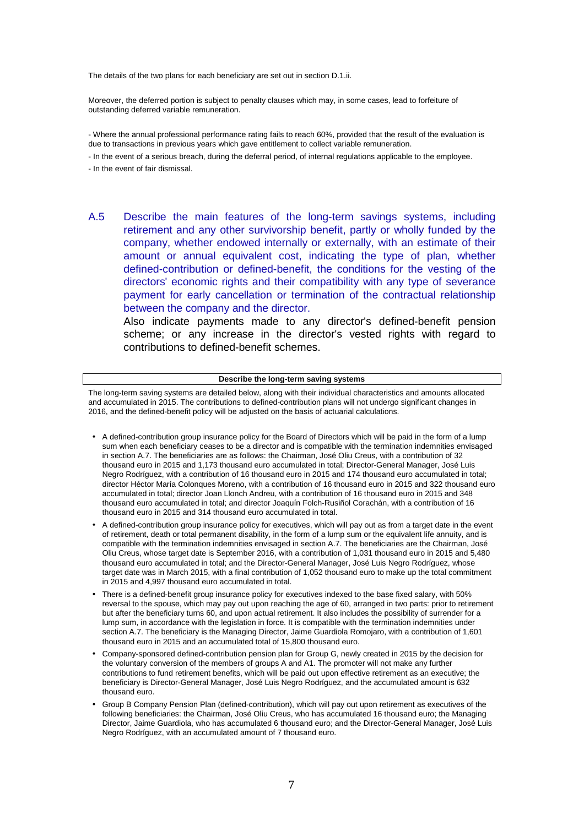The details of the two plans for each beneficiary are set out in section D.1.ii.

Moreover, the deferred portion is subject to penalty clauses which may, in some cases, lead to forfeiture of outstanding deferred variable remuneration.

- Where the annual professional performance rating fails to reach 60%, provided that the result of the evaluation is due to transactions in previous years which gave entitlement to collect variable remuneration.

- In the event of a serious breach, during the deferral period, of internal regulations applicable to the employee.

- In the event of fair dismissal.
- A.5 Describe the main features of the long-term savings systems, including retirement and any other survivorship benefit, partly or wholly funded by the company, whether endowed internally or externally, with an estimate of their amount or annual equivalent cost, indicating the type of plan, whether defined-contribution or defined-benefit, the conditions for the vesting of the directors' economic rights and their compatibility with any type of severance payment for early cancellation or termination of the contractual relationship between the company and the director.

Also indicate payments made to any director's defined-benefit pension scheme; or any increase in the director's vested rights with regard to contributions to defined-benefit schemes.

#### **Describe the long-term saving systems**

The long-term saving systems are detailed below, along with their individual characteristics and amounts allocated and accumulated in 2015. The contributions to defined-contribution plans will not undergo significant changes in 2016, and the defined-benefit policy will be adjusted on the basis of actuarial calculations.

- A defined-contribution group insurance policy for the Board of Directors which will be paid in the form of a lump sum when each beneficiary ceases to be a director and is compatible with the termination indemnities envisaged in section A.7. The beneficiaries are as follows: the Chairman, José Oliu Creus, with a contribution of 32 thousand euro in 2015 and 1,173 thousand euro accumulated in total; Director-General Manager, José Luis Negro Rodríguez, with a contribution of 16 thousand euro in 2015 and 174 thousand euro accumulated in total; director Héctor María Colonques Moreno, with a contribution of 16 thousand euro in 2015 and 322 thousand euro accumulated in total; director Joan Llonch Andreu, with a contribution of 16 thousand euro in 2015 and 348 thousand euro accumulated in total; and director Joaquín Folch-Rusiñol Corachán, with a contribution of 16 thousand euro in 2015 and 314 thousand euro accumulated in total.
- A defined-contribution group insurance policy for executives, which will pay out as from a target date in the event of retirement, death or total permanent disability, in the form of a lump sum or the equivalent life annuity, and is compatible with the termination indemnities envisaged in section A.7. The beneficiaries are the Chairman, José Oliu Creus, whose target date is September 2016, with a contribution of 1,031 thousand euro in 2015 and 5,480 thousand euro accumulated in total; and the Director-General Manager, José Luis Negro Rodríguez, whose target date was in March 2015, with a final contribution of 1,052 thousand euro to make up the total commitment in 2015 and 4,997 thousand euro accumulated in total.
- There is a defined-benefit group insurance policy for executives indexed to the base fixed salary, with 50% reversal to the spouse, which may pay out upon reaching the age of 60, arranged in two parts: prior to retirement but after the beneficiary turns 60, and upon actual retirement. It also includes the possibility of surrender for a lump sum, in accordance with the legislation in force. It is compatible with the termination indemnities under section A.7. The beneficiary is the Managing Director, Jaime Guardiola Romojaro, with a contribution of 1,601 thousand euro in 2015 and an accumulated total of 15,800 thousand euro.
- Company-sponsored defined-contribution pension plan for Group G, newly created in 2015 by the decision for the voluntary conversion of the members of groups A and A1. The promoter will not make any further contributions to fund retirement benefits, which will be paid out upon effective retirement as an executive; the beneficiary is Director-General Manager, José Luis Negro Rodríguez, and the accumulated amount is 632 thousand euro.
- Group B Company Pension Plan (defined-contribution), which will pay out upon retirement as executives of the following beneficiaries: the Chairman, José Oliu Creus, who has accumulated 16 thousand euro; the Managing Director, Jaime Guardiola, who has accumulated 6 thousand euro; and the Director-General Manager, José Luis Negro Rodríguez, with an accumulated amount of 7 thousand euro.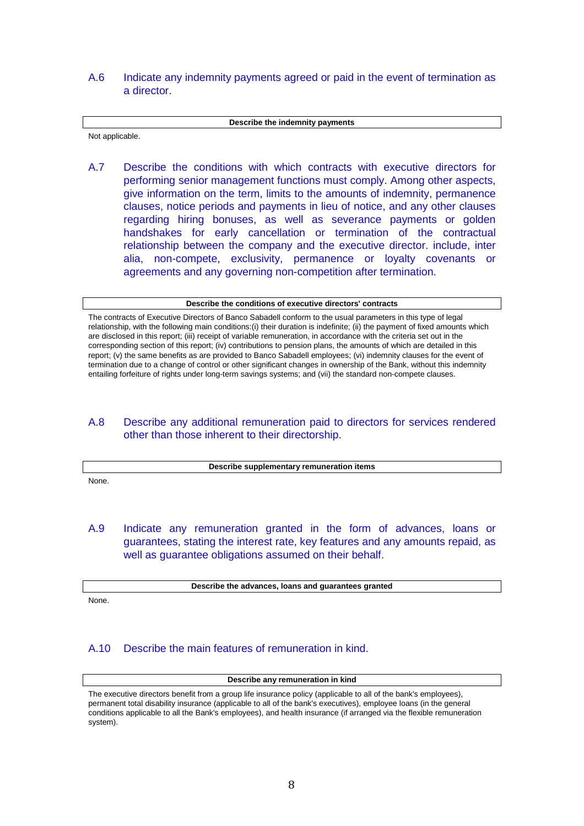### A.6 Indicate any indemnity payments agreed or paid in the event of termination as a director.

#### **Describe the indemnity payments**

Not applicable.

A.7 Describe the conditions with which contracts with executive directors for performing senior management functions must comply. Among other aspects, give information on the term, limits to the amounts of indemnity, permanence clauses, notice periods and payments in lieu of notice, and any other clauses regarding hiring bonuses, as well as severance payments or golden handshakes for early cancellation or termination of the contractual relationship between the company and the executive director. include, inter alia, non-compete, exclusivity, permanence or loyalty covenants or agreements and any governing non-competition after termination.

#### **Describe the conditions of executive directors' contracts**

The contracts of Executive Directors of Banco Sabadell conform to the usual parameters in this type of legal relationship, with the following main conditions:(i) their duration is indefinite; (ii) the payment of fixed amounts which are disclosed in this report; (iii) receipt of variable remuneration, in accordance with the criteria set out in the corresponding section of this report; (iv) contributions to pension plans, the amounts of which are detailed in this report; (v) the same benefits as are provided to Banco Sabadell employees; (vi) indemnity clauses for the event of termination due to a change of control or other significant changes in ownership of the Bank, without this indemnity entailing forfeiture of rights under long-term savings systems; and (vii) the standard non-compete clauses.

### A.8 Describe any additional remuneration paid to directors for services rendered other than those inherent to their directorship.

|       | Describe supplementary remuneration items |
|-------|-------------------------------------------|
| None. |                                           |

A.9 Indicate any remuneration granted in the form of advances, loans or guarantees, stating the interest rate, key features and any amounts repaid, as well as quarantee obligations assumed on their behalf.

**Describe the advances, loans and guarantees granted**

None.

### A.10 Describe the main features of remuneration in kind.

#### **Describe any remuneration in kind**

The executive directors benefit from a group life insurance policy (applicable to all of the bank's employees), permanent total disability insurance (applicable to all of the bank's executives), employee loans (in the general conditions applicable to all the Bank's employees), and health insurance (if arranged via the flexible remuneration system).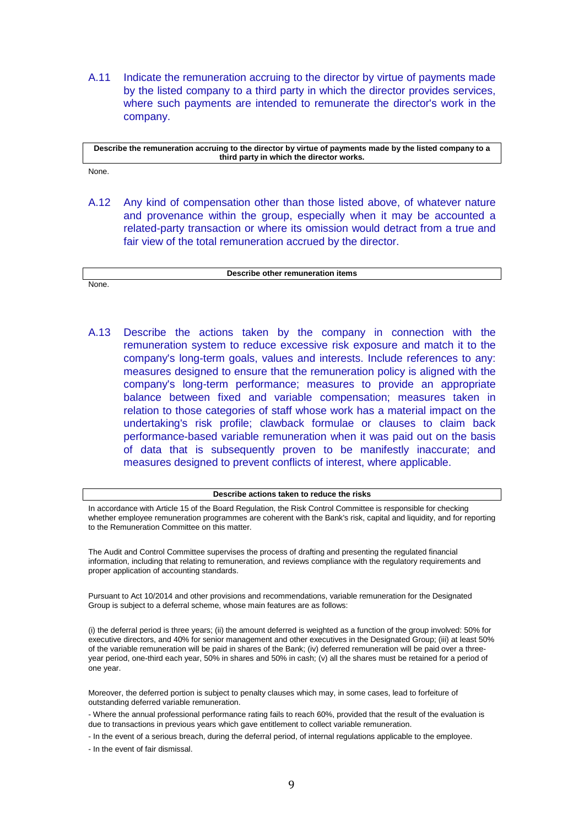A.11 Indicate the remuneration accruing to the director by virtue of payments made by the listed company to a third party in which the director provides services, where such payments are intended to remunerate the director's work in the company.

**Describe the remuneration accruing to the director by virtue of payments made by the listed company to a third party in which the director works.** 

None.

None.

A.12 Any kind of compensation other than those listed above, of whatever nature and provenance within the group, especially when it may be accounted a related-party transaction or where its omission would detract from a true and fair view of the total remuneration accrued by the director.

**Describe other remuneration items** 

A.13 Describe the actions taken by the company in connection with the remuneration system to reduce excessive risk exposure and match it to the company's long-term goals, values and interests. Include references to any: measures designed to ensure that the remuneration policy is aligned with the company's long-term performance; measures to provide an appropriate balance between fixed and variable compensation; measures taken in relation to those categories of staff whose work has a material impact on the undertaking's risk profile; clawback formulae or clauses to claim back performance-based variable remuneration when it was paid out on the basis of data that is subsequently proven to be manifestly inaccurate; and measures designed to prevent conflicts of interest, where applicable.

#### **Describe actions taken to reduce the risks**

In accordance with Article 15 of the Board Regulation, the Risk Control Committee is responsible for checking whether employee remuneration programmes are coherent with the Bank's risk, capital and liquidity, and for reporting to the Remuneration Committee on this matter.

The Audit and Control Committee supervises the process of drafting and presenting the regulated financial information, including that relating to remuneration, and reviews compliance with the regulatory requirements and proper application of accounting standards.

Pursuant to Act 10/2014 and other provisions and recommendations, variable remuneration for the Designated Group is subject to a deferral scheme, whose main features are as follows:

(i) the deferral period is three years; (ii) the amount deferred is weighted as a function of the group involved: 50% for executive directors, and 40% for senior management and other executives in the Designated Group; (iii) at least 50% of the variable remuneration will be paid in shares of the Bank; (iv) deferred remuneration will be paid over a threeyear period, one-third each year, 50% in shares and 50% in cash; (v) all the shares must be retained for a period of one year.

Moreover, the deferred portion is subject to penalty clauses which may, in some cases, lead to forfeiture of outstanding deferred variable remuneration.

- Where the annual professional performance rating fails to reach 60%, provided that the result of the evaluation is due to transactions in previous years which gave entitlement to collect variable remuneration.

- In the event of a serious breach, during the deferral period, of internal regulations applicable to the employee.

- In the event of fair dismissal.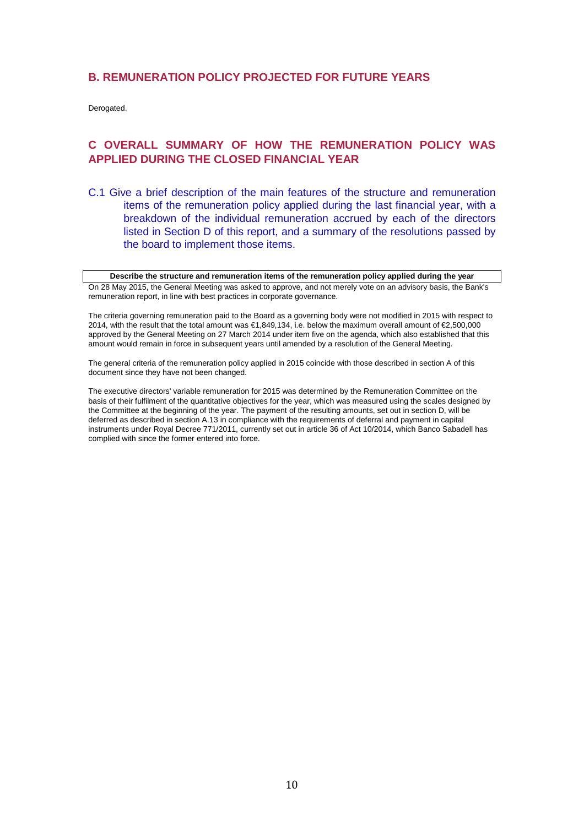### **B. REMUNERATION POLICY PROJECTED FOR FUTURE YEARS**

Derogated.

## **C OVERALL SUMMARY OF HOW THE REMUNERATION POLICY WAS APPLIED DURING THE CLOSED FINANCIAL YEAR**

C.1 Give a brief description of the main features of the structure and remuneration items of the remuneration policy applied during the last financial year, with a breakdown of the individual remuneration accrued by each of the directors listed in Section D of this report, and a summary of the resolutions passed by the board to implement those items.

**Describe the structure and remuneration items of the remuneration policy applied during the year**  On 28 May 2015, the General Meeting was asked to approve, and not merely vote on an advisory basis, the Bank's remuneration report, in line with best practices in corporate governance.

The criteria governing remuneration paid to the Board as a governing body were not modified in 2015 with respect to 2014, with the result that the total amount was €1,849,134, i.e. below the maximum overall amount of €2,500,000 approved by the General Meeting on 27 March 2014 under item five on the agenda, which also established that this amount would remain in force in subsequent years until amended by a resolution of the General Meeting.

The general criteria of the remuneration policy applied in 2015 coincide with those described in section A of this document since they have not been changed.

The executive directors' variable remuneration for 2015 was determined by the Remuneration Committee on the basis of their fulfilment of the quantitative objectives for the year, which was measured using the scales designed by the Committee at the beginning of the year. The payment of the resulting amounts, set out in section D, will be deferred as described in section A.13 in compliance with the requirements of deferral and payment in capital instruments under Royal Decree 771/2011, currently set out in article 36 of Act 10/2014, which Banco Sabadell has complied with since the former entered into force.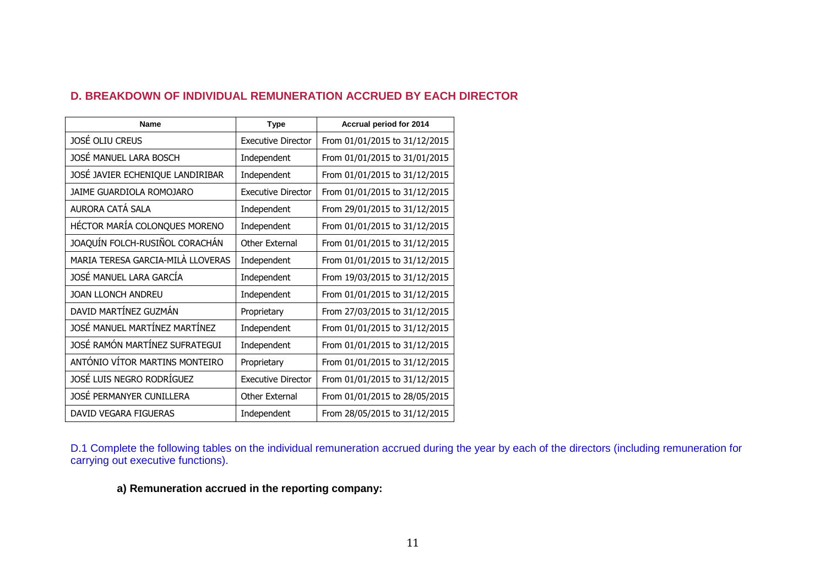|  | <b>D. BREAKDOWN OF INDIVIDUAL REMUNERATION ACCRUED BY EACH DIRECTOR</b> |
|--|-------------------------------------------------------------------------|
|--|-------------------------------------------------------------------------|

| Name                              | <b>Type</b>               | Accrual period for 2014       |
|-----------------------------------|---------------------------|-------------------------------|
| JOSÉ OLIU CREUS                   | <b>Executive Director</b> | From 01/01/2015 to 31/12/2015 |
| JOSÉ MANUEL LARA BOSCH            | Independent               | From 01/01/2015 to 31/01/2015 |
| JOSÉ JAVIER ECHENIQUE LANDIRIBAR  | Independent               | From 01/01/2015 to 31/12/2015 |
| JAIME GUARDIOLA ROMOJARO          | <b>Executive Director</b> | From 01/01/2015 to 31/12/2015 |
| AURORA CATÁ SALA                  | Independent               | From 29/01/2015 to 31/12/2015 |
| HÉCTOR MARÍA COLONQUES MORENO     | Independent               | From 01/01/2015 to 31/12/2015 |
| JOAQUÍN FOLCH-RUSIÑOL CORACHÁN    | Other External            | From 01/01/2015 to 31/12/2015 |
| MARIA TERESA GARCIA-MILA LLOVERAS | Independent               | From 01/01/2015 to 31/12/2015 |
| JOSÉ MANUEL LARA GARCÍA           | Independent               | From 19/03/2015 to 31/12/2015 |
| JOAN LLONCH ANDREU                | Independent               | From 01/01/2015 to 31/12/2015 |
| DAVID MARTÍNEZ GUZMÁN             | Proprietary               | From 27/03/2015 to 31/12/2015 |
| JOSÉ MANUEL MARTÍNEZ MARTÍNEZ     | Independent               | From 01/01/2015 to 31/12/2015 |
| JOSÉ RAMÓN MARTÍNEZ SUFRATEGUI    | Independent               | From 01/01/2015 to 31/12/2015 |
| ANTÓNIO VÍTOR MARTINS MONTEIRO    | Proprietary               | From 01/01/2015 to 31/12/2015 |
| JOSÉ LUIS NEGRO RODRÍGUEZ         | <b>Executive Director</b> | From 01/01/2015 to 31/12/2015 |
| JOSÉ PERMANYER CUNILLERA          | Other External            | From 01/01/2015 to 28/05/2015 |
| DAVID VEGARA FIGUERAS             | Independent               | From 28/05/2015 to 31/12/2015 |

D.1 Complete the following tables on the individual remuneration accrued during the year by each of the directors (including remuneration for carrying out executive functions).

**a) Remuneration accrued in the reporting company:**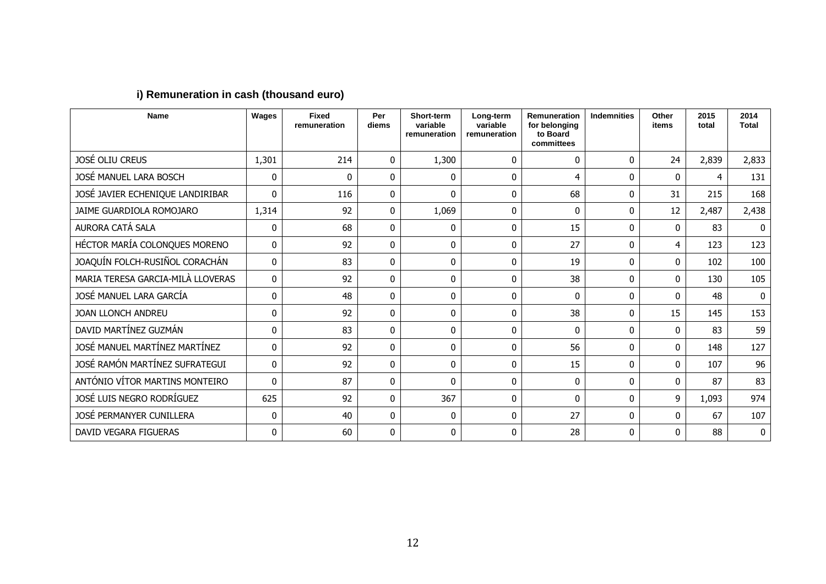| <b>Name</b>                       | Wages        | <b>Fixed</b><br>remuneration | Per<br>diems | Short-term<br>variable<br>remuneration | Long-term<br>variable<br>remuneration | Remuneration<br>for belonging<br>to Board<br>committees | <b>Indemnities</b> | Other<br>items | 2015<br>total | 2014<br><b>Total</b> |
|-----------------------------------|--------------|------------------------------|--------------|----------------------------------------|---------------------------------------|---------------------------------------------------------|--------------------|----------------|---------------|----------------------|
| <b>JOSÉ OLIU CREUS</b>            | 1,301        | 214                          | 0            | 1,300                                  | $\Omega$                              | $\mathbf{0}$                                            | $\Omega$           | 24             | 2,839         | 2,833                |
| JOSÉ MANUEL LARA BOSCH            | 0            | 0                            | 0            | $\mathbf{0}$                           | $\mathbf{0}$                          | 4                                                       | $\mathbf{0}$       | $\mathbf{0}$   | 4             | 131                  |
| JOSÉ JAVIER ECHENIQUE LANDIRIBAR  | $\mathbf{0}$ | 116                          | 0            | $\mathbf{0}$                           | 0                                     | 68                                                      | $\mathbf{0}$       | 31             | 215           | 168                  |
| JAIME GUARDIOLA ROMOJARO          | 1,314        | 92                           | $\mathbf{0}$ | 1,069                                  | $\mathbf{0}$                          | 0                                                       | $\Omega$           | 12             | 2,487         | 2,438                |
| AURORA CATÁ SALA                  | $\mathbf{0}$ | 68                           | 0            | $\mathbf{0}$                           | 0                                     | 15                                                      | $\Omega$           | $\Omega$       | 83            | $\mathbf{0}$         |
| HÉCTOR MARÍA COLONQUES MORENO     | $\mathbf{0}$ | 92                           | 0            | $\mathbf{0}$                           | $\mathbf{0}$                          | 27                                                      | 0                  | 4              | 123           | 123                  |
| JOAQUÍN FOLCH-RUSIÑOL CORACHÁN    | $\mathbf{0}$ | 83                           | 0            | $\mathbf{0}$                           | $\Omega$                              | 19                                                      | $\Omega$           | $\mathbf{0}$   | 102           | 100                  |
| MARIA TERESA GARCIA-MILÀ LLOVERAS | $\mathbf{0}$ | 92                           | 0            | $\mathbf{0}$                           | $\mathbf{0}$                          | 38                                                      | $\mathbf{0}$       | $\mathbf{0}$   | 130           | 105                  |
| JOSÉ MANUEL LARA GARCÍA           | 0            | 48                           | 0            | $\mathbf{0}$                           | 0                                     | $\Omega$                                                | $\Omega$           | $\Omega$       | 48            | $\mathbf{0}$         |
| <b>JOAN LLONCH ANDREU</b>         | 0            | 92                           | $\mathbf{0}$ | $\mathbf{0}$                           | $\mathbf{0}$                          | 38                                                      | 0                  | 15             | 145           | 153                  |
| DAVID MARTÍNEZ GUZMÁN             | 0            | 83                           | 0            | $\mathbf{0}$                           | $\mathbf{0}$                          | 0                                                       | $\mathbf{0}$       | $\mathbf{0}$   | 83            | 59                   |
| JOSÉ MANUEL MARTÍNEZ MARTÍNEZ     | 0            | 92                           | 0            | $\mathbf{0}$                           | $\mathbf{0}$                          | 56                                                      | $\Omega$           | $\mathbf{0}$   | 148           | 127                  |
| JOSÉ RAMÓN MARTÍNEZ SUFRATEGUI    | $\mathbf{0}$ | 92                           | 0            | $\mathbf{0}$                           | $\mathbf{0}$                          | 15                                                      | $\Omega$           | $\Omega$       | 107           | 96                   |
| ANTÓNIO VÍTOR MARTINS MONTEIRO    | $\mathbf{0}$ | 87                           | 0            | $\Omega$                               | $\Omega$                              | $\mathbf{0}$                                            | $\Omega$           | $\Omega$       | 87            | 83                   |
| JOSÉ LUIS NEGRO RODRÍGUEZ         | 625          | 92                           | 0            | 367                                    | 0                                     | 0                                                       | $\Omega$           | 9              | 1,093         | 974                  |
| JOSÉ PERMANYER CUNILLERA          | $\mathbf{0}$ | 40                           | 0            | $\mathbf{0}$                           | $\Omega$                              | 27                                                      | $\Omega$           | $\Omega$       | 67            | 107                  |
| DAVID VEGARA FIGUERAS             | 0            | 60                           | 0            | $\Omega$                               | 0                                     | 28                                                      | $\Omega$           | $\Omega$       | 88            | $\bf{0}$             |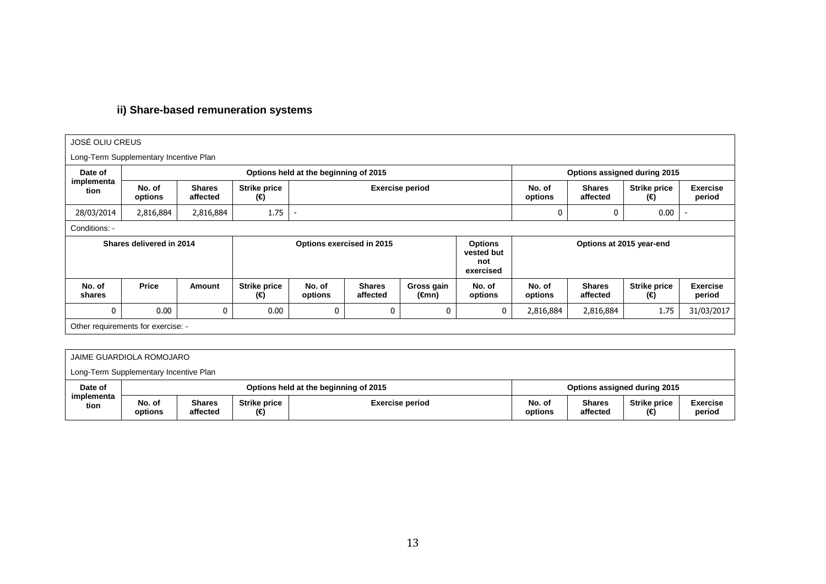# **ii) Share-based remuneration systems**

| <b>JOSÉ OLIU CREUS</b>                 |                                    |                           |                                       |                              |                           |                                                  |                          |                   |                           |                            |                           |  |
|----------------------------------------|------------------------------------|---------------------------|---------------------------------------|------------------------------|---------------------------|--------------------------------------------------|--------------------------|-------------------|---------------------------|----------------------------|---------------------------|--|
| Long-Term Supplementary Incentive Plan |                                    |                           |                                       |                              |                           |                                                  |                          |                   |                           |                            |                           |  |
| Date of                                |                                    |                           | Options held at the beginning of 2015 | Options assigned during 2015 |                           |                                                  |                          |                   |                           |                            |                           |  |
| implementa<br>tion                     | No. of<br>options                  | <b>Shares</b><br>affected | <b>Strike price</b><br>(€)            |                              |                           | <b>Exercise period</b>                           |                          | No. of<br>options | <b>Shares</b><br>affected | <b>Strike price</b><br>(€) | <b>Exercise</b><br>period |  |
| 28/03/2014                             | 2,816,884                          | 2,816,884                 | 1.75                                  |                              |                           |                                                  |                          |                   | 0                         | 0.00                       |                           |  |
| Conditions: -                          |                                    |                           |                                       |                              |                           |                                                  |                          |                   |                           |                            |                           |  |
| Shares delivered in 2014               |                                    | Options exercised in 2015 |                                       |                              |                           | <b>Options</b><br>vested but<br>not<br>exercised | Options at 2015 year-end |                   |                           |                            |                           |  |
| No. of<br>shares                       | <b>Price</b>                       | Amount                    | <b>Strike price</b><br>(€)            | No. of<br>options            | <b>Shares</b><br>affected | Gross gain<br>(€mn)                              | No. of<br>options        | No. of<br>options | <b>Shares</b><br>affected | <b>Strike price</b><br>(€) | <b>Exercise</b><br>period |  |
| 0                                      | 0.00                               | 0                         | 0.00                                  | $\mathbf 0$                  | 0                         | 0                                                | 0                        | 2,816,884         | 2,816,884                 | 1.75                       | 31/03/2017                |  |
|                                        | Other requirements for exercise: - |                           |                                       |                              |                           |                                                  |                          |                   |                           |                            |                           |  |
|                                        |                                    |                           |                                       |                              |                           |                                                  |                          |                   |                           |                            |                           |  |
|                                        |                                    |                           |                                       |                              |                           |                                                  |                          |                   |                           |                            |                           |  |

|                    | JAIME GUARDIOLA ROMOJARO               |                                       |                            |                        |                   |                           |                              |                           |  |  |
|--------------------|----------------------------------------|---------------------------------------|----------------------------|------------------------|-------------------|---------------------------|------------------------------|---------------------------|--|--|
|                    | Long-Term Supplementary Incentive Plan |                                       |                            |                        |                   |                           |                              |                           |  |  |
| Date of            |                                        | Options held at the beginning of 2015 |                            |                        |                   |                           | Options assigned during 2015 |                           |  |  |
| implementa<br>tion | No. of<br>options                      | <b>Shares</b><br>affected             | <b>Strike price</b><br>(€) | <b>Exercise period</b> | No. of<br>options | <b>Shares</b><br>affected | <b>Strike price</b><br>(€)   | <b>Exercise</b><br>period |  |  |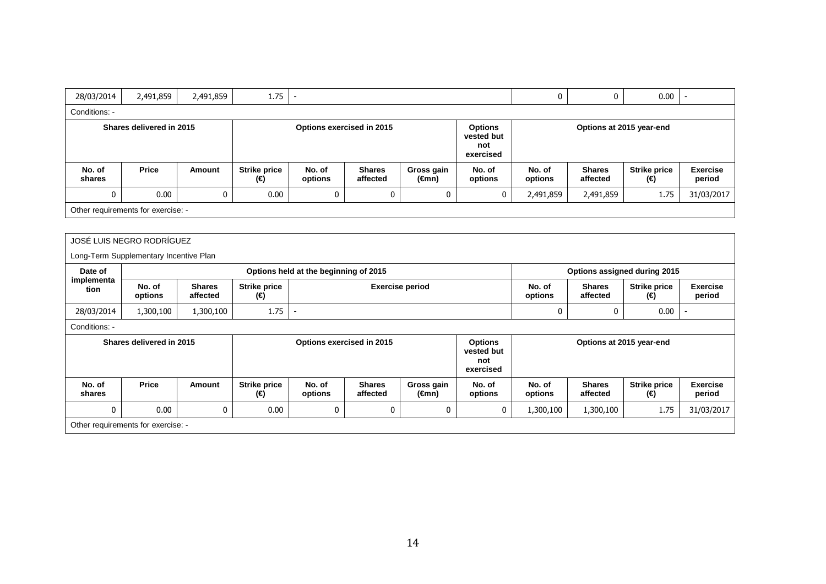| 28/03/2014               | 2,491,859                              | 2,491,859                             | 1.75                       |                           |                           |                                                  |                                                  | 0                        | 0                            | 0.00                       | $\sim$                    |  |
|--------------------------|----------------------------------------|---------------------------------------|----------------------------|---------------------------|---------------------------|--------------------------------------------------|--------------------------------------------------|--------------------------|------------------------------|----------------------------|---------------------------|--|
| Conditions: -            |                                        |                                       |                            |                           |                           |                                                  |                                                  |                          |                              |                            |                           |  |
| Shares delivered in 2015 |                                        |                                       |                            | Options exercised in 2015 |                           | <b>Options</b><br>vested but<br>not<br>exercised |                                                  | Options at 2015 year-end |                              |                            |                           |  |
| No. of<br>shares         | <b>Price</b>                           | Amount                                | <b>Strike price</b><br>(€) | No. of<br>options         | <b>Shares</b><br>affected | Gross gain<br>$(\epsilon$ mn)                    | No. of<br>options                                | No. of<br>options        | <b>Shares</b><br>affected    | <b>Strike price</b><br>(€) | <b>Exercise</b><br>period |  |
| $\mathbf{0}$             | 0.00                                   | $\mathbf{0}$                          | 0.00                       | 0                         | 0                         | $\mathbf{0}$                                     | 0                                                | 2,491,859                | 2,491,859                    | 1.75                       | 31/03/2017                |  |
|                          | Other requirements for exercise: -     |                                       |                            |                           |                           |                                                  |                                                  |                          |                              |                            |                           |  |
|                          |                                        |                                       |                            |                           |                           |                                                  |                                                  |                          |                              |                            |                           |  |
|                          | JOSÉ LUIS NEGRO RODRÍGUEZ              |                                       |                            |                           |                           |                                                  |                                                  |                          |                              |                            |                           |  |
|                          | Long-Term Supplementary Incentive Plan |                                       |                            |                           |                           |                                                  |                                                  |                          |                              |                            |                           |  |
| Date of                  |                                        | Options held at the beginning of 2015 |                            |                           |                           |                                                  |                                                  |                          | Options assigned during 2015 |                            |                           |  |
| implementa<br>tion       | No. of<br>options                      | <b>Shares</b><br>affected             | <b>Strike price</b><br>(€) |                           | <b>Exercise period</b>    |                                                  |                                                  |                          | <b>Shares</b><br>affected    | <b>Strike price</b><br>(€) | <b>Exercise</b><br>period |  |
| 28/03/2014               | 1,300,100                              |                                       |                            | $\sim$                    |                           |                                                  |                                                  |                          |                              |                            |                           |  |
| Conditions: -            |                                        |                                       |                            |                           |                           |                                                  |                                                  |                          |                              |                            | $\sim$                    |  |
|                          |                                        | 1,300,100                             | 1.75                       |                           |                           |                                                  |                                                  | 0                        | 0                            | 0.00                       |                           |  |
|                          | Shares delivered in 2015               |                                       |                            |                           | Options exercised in 2015 |                                                  | <b>Options</b><br>vested but<br>not<br>exercised |                          | Options at 2015 year-end     |                            |                           |  |
| No. of<br>shares         | <b>Price</b>                           | Amount                                | <b>Strike price</b><br>(€) | No. of<br>options         | <b>Shares</b><br>affected | Gross gain<br>(€mn)                              | No. of<br>options                                | No. of<br>options        | <b>Shares</b><br>affected    | <b>Strike price</b><br>(€) | <b>Exercise</b><br>period |  |
| $\mathbf 0$              | 0.00                                   | 0                                     | 0.00                       | 0                         | 0                         | 0                                                | 0                                                | 1,300,100                | 1,300,100                    | 1.75                       | 31/03/2017                |  |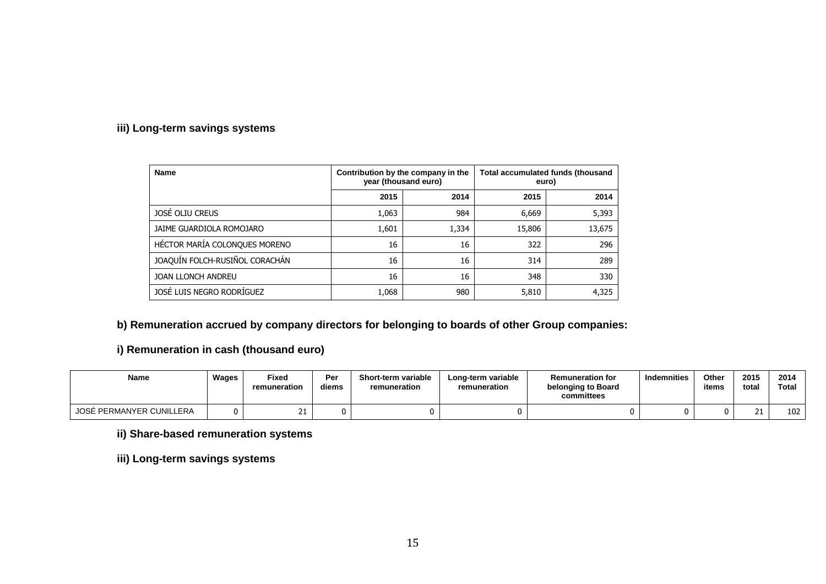### **iii) Long-term savings systems**

| <b>Name</b>                    | Contribution by the company in the<br>year (thousand euro) |       | Total accumulated funds (thousand<br>euro) |        |  |
|--------------------------------|------------------------------------------------------------|-------|--------------------------------------------|--------|--|
|                                | 2015                                                       | 2014  | 2015                                       | 2014   |  |
| JOSÉ OLIU CREUS                | 1,063                                                      | 984   | 6,669                                      | 5,393  |  |
| JAIME GUARDIOLA ROMOJARO       | 1,601                                                      | 1,334 | 15,806                                     | 13,675 |  |
| HÉCTOR MARÍA COLONQUES MORENO  | 16                                                         | 16    | 322                                        | 296    |  |
| JOAQUÍN FOLCH-RUSIÑOL CORACHÁN | 16                                                         | 16    | 314                                        | 289    |  |
| <b>JOAN LLONCH ANDREU</b>      | 16                                                         | 16    | 348                                        | 330    |  |
| JOSÉ LUIS NEGRO RODRÍGUEZ      | 1,068                                                      | 980   | 5,810                                      | 4,325  |  |

# **b) Remuneration accrued by company directors for belonging to boards of other Group companies:**

**i) Remuneration in cash (thousand euro)** 

| <b>Name</b>              | Wages | <b>Fixed</b><br>remuneration | Per<br>diems | Short-term variable<br>remuneration | Long-term variable<br>remuneration | <b>Remuneration for</b><br>belonging to Board<br>committees | <b>Indemnities</b> | Other<br>items | 2015<br>tota. | 2014<br>Total |
|--------------------------|-------|------------------------------|--------------|-------------------------------------|------------------------------------|-------------------------------------------------------------|--------------------|----------------|---------------|---------------|
| JOSÉ PERMANYER CUNILLERA |       |                              |              |                                     |                                    |                                                             |                    |                | --            | 102           |

**ii) Share-based remuneration systems** 

**iii) Long-term savings systems**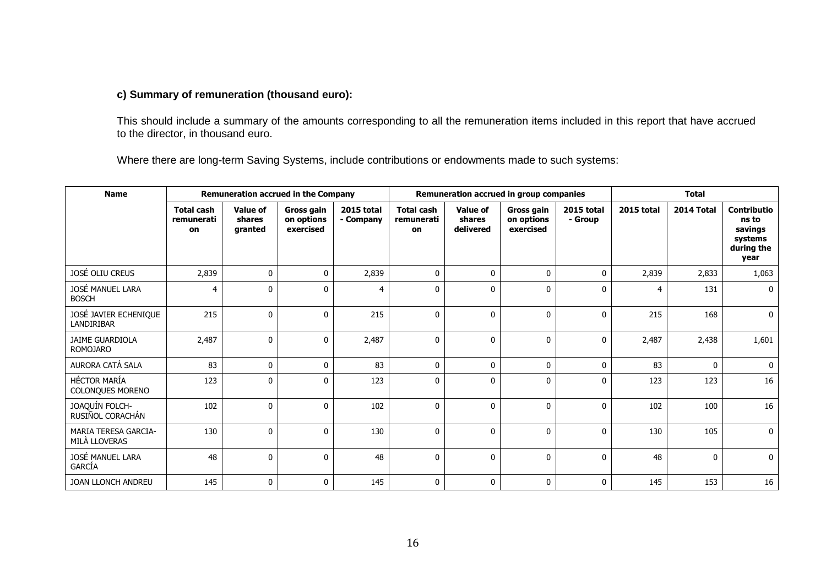### **c) Summary of remuneration (thousand euro):**

This should include a summary of the amounts corresponding to all the remuneration items included in this report that have accrued to the director, in thousand euro.

Where there are long-term Saving Systems, include contributions or endowments made to such systems:

| <b>Name</b>                                  | <b>Remuneration accrued in the Company</b> |                                      |                                       | Remuneration accrued in group companies |                                       |                                 |                                              | <b>Total</b>                 |            |              |                                                                         |
|----------------------------------------------|--------------------------------------------|--------------------------------------|---------------------------------------|-----------------------------------------|---------------------------------------|---------------------------------|----------------------------------------------|------------------------------|------------|--------------|-------------------------------------------------------------------------|
|                                              | <b>Total cash</b><br>remunerati<br>on      | <b>Value of</b><br>shares<br>granted | Gross gain<br>on options<br>exercised | 2015 total<br>- Company                 | <b>Total cash</b><br>remunerati<br>on | Value of<br>shares<br>delivered | <b>Gross gain</b><br>on options<br>exercised | <b>2015 total</b><br>- Group | 2015 total | 2014 Total   | <b>Contributio</b><br>ns to<br>savings<br>systems<br>during the<br>year |
| JOSÉ OLIU CREUS                              | 2,839                                      | $\mathbf{0}$                         | $\mathbf{0}$                          | 2,839                                   | $\mathbf{0}$                          | $\mathbf{0}$                    | $\mathbf{0}$                                 | $\mathbf{0}$                 | 2,839      | 2,833        | 1,063                                                                   |
| JOSÉ MANUEL LARA<br><b>BOSCH</b>             | 4                                          | $\mathbf{0}$                         | $\mathbf{0}$                          | 4                                       | $\mathbf 0$                           | $\mathbf{0}$                    | $\mathbf 0$                                  | 0                            | 4          | 131          | 0                                                                       |
| JOSÉ JAVIER ECHENIQUE<br>LANDIRIBAR          | 215                                        | $\mathbf{0}$                         | $\mathbf{0}$                          | 215                                     | $\mathbf 0$                           | 0                               | $\mathbf 0$                                  | 0                            | 215        | 168          | $\mathbf{0}$                                                            |
| <b>JAIME GUARDIOLA</b><br><b>ROMOJARO</b>    | 2,487                                      | $\mathbf 0$                          | $\mathbf 0$                           | 2,487                                   | $\mathbf 0$                           | 0                               | $\mathbf 0$                                  | $\mathbf 0$                  | 2,487      | 2,438        | 1,601                                                                   |
| AURORA CATÁ SALA                             | 83                                         | $\mathbf{0}$                         | $\mathbf{0}$                          | 83                                      | $\mathbf{0}$                          | $\Omega$                        | $\mathbf{0}$                                 | $\mathbf 0$                  | 83         | $\mathbf{0}$ | $\mathbf{0}$                                                            |
| <b>HÉCTOR MARÍA</b><br>COLONQUES MORENO      | 123                                        | $\mathbf{0}$                         | $\mathbf 0$                           | 123                                     | $\mathbf 0$                           | $\mathbf{0}$                    | $\mathbf 0$                                  | 0                            | 123        | 123          | 16                                                                      |
| JOAQUÍN FOLCH-<br>RUSIÑOL CORACHÁN           | 102                                        | $\mathbf{0}$                         | $\mathbf{0}$                          | 102                                     | $\mathbf{0}$                          | $\Omega$                        | $\mathbf{0}$                                 | 0                            | 102        | 100          | 16                                                                      |
| <b>MARIA TERESA GARCIA-</b><br>MILÀ LLOVERAS | 130                                        | $\mathbf{0}$                         | $\mathbf{0}$                          | 130                                     | $\mathbf{0}$                          | $\mathbf{0}$                    | $\mathbf{0}$                                 | 0                            | 130        | 105          | $\mathbf 0$                                                             |
| JOSÉ MANUEL LARA<br>GARCÍA                   | 48                                         | $\mathbf{0}$                         | $\mathbf{0}$                          | 48                                      | $\mathbf{0}$                          | $\Omega$                        | $\mathbf{0}$                                 | 0                            | 48         | $\mathbf{0}$ | $\mathbf{0}$                                                            |
| JOAN LLONCH ANDREU                           | 145                                        | $\mathbf{0}$                         | $\mathbf{0}$                          | 145                                     | $\mathbf 0$                           | $\mathbf{0}$                    | $\mathbf 0$                                  | 0                            | 145        | 153          | 16                                                                      |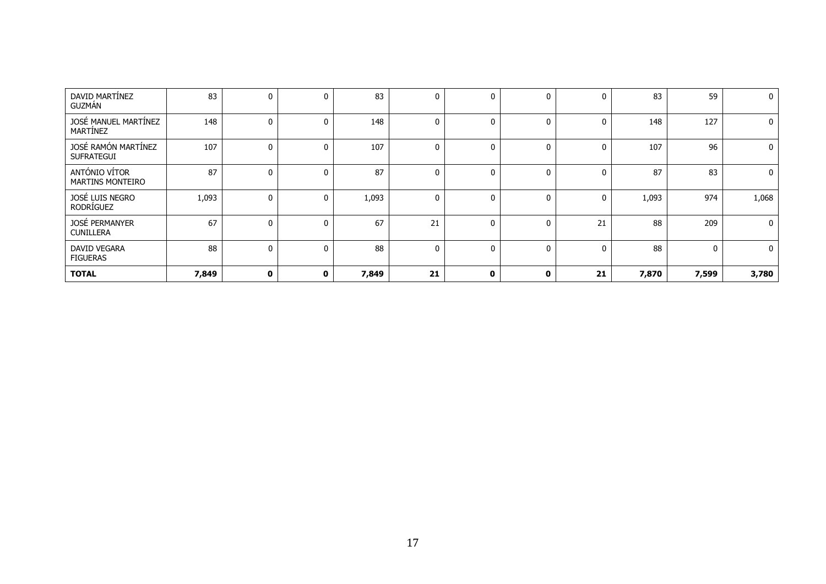| DAVID MARTÍNEZ<br><b>GUZMÁN</b>          | 83    | 0            | $\mathbf{0}$ | 83    | 0  | 0            | 0            | 0            | 83    | 59           | $\mathbf 0$  |
|------------------------------------------|-------|--------------|--------------|-------|----|--------------|--------------|--------------|-------|--------------|--------------|
| JOSÉ MANUEL MARTÍNEZ<br>MARTÍNEZ         | 148   |              | $\mathbf{0}$ | 148   | 0  | 0            | $\mathbf{0}$ | $\mathbf 0$  | 148   | 127          | $\mathbf{0}$ |
| JOSÉ RAMÓN MARTÍNEZ<br><b>SUFRATEGUI</b> | 107   |              | $\Omega$     | 107   |    | 0            | $\Omega$     | $\Omega$     | 107   | 96           | $\mathbf{0}$ |
| ANTÓNIO VÍTOR<br><b>MARTINS MONTEIRO</b> | 87    | 0            | $\mathbf{0}$ | 87    |    | $\mathbf{0}$ | $\mathbf{0}$ | $\mathbf{0}$ | 87    | 83           | $\mathbf 0$  |
| JOSÉ LUIS NEGRO<br>RODRÍGUEZ             | 1,093 | 0            | 0            | 1,093 | 0  | 0            | $\mathbf{0}$ | 0            | 1,093 | 974          | 1,068        |
| JOSÉ PERMANYER<br><b>CUNILLERA</b>       | 67    | 0            | $\mathbf{0}$ | 67    | 21 | $\mathbf{0}$ | $\mathbf{0}$ | 21           | 88    | 209          | $\mathbf{0}$ |
| DAVID VEGARA<br><b>FIGUERAS</b>          | 88    | 0            | $\mathbf{0}$ | 88    | 0  | $\mathbf{0}$ | $\mathbf{0}$ | $\mathbf{0}$ | 88    | $\mathbf{0}$ | $\mathbf{0}$ |
| <b>TOTAL</b>                             | 7,849 | $\mathbf{0}$ | 0            | 7,849 | 21 | $\mathbf 0$  | 0            | 21           | 7,870 | 7,599        | 3,780        |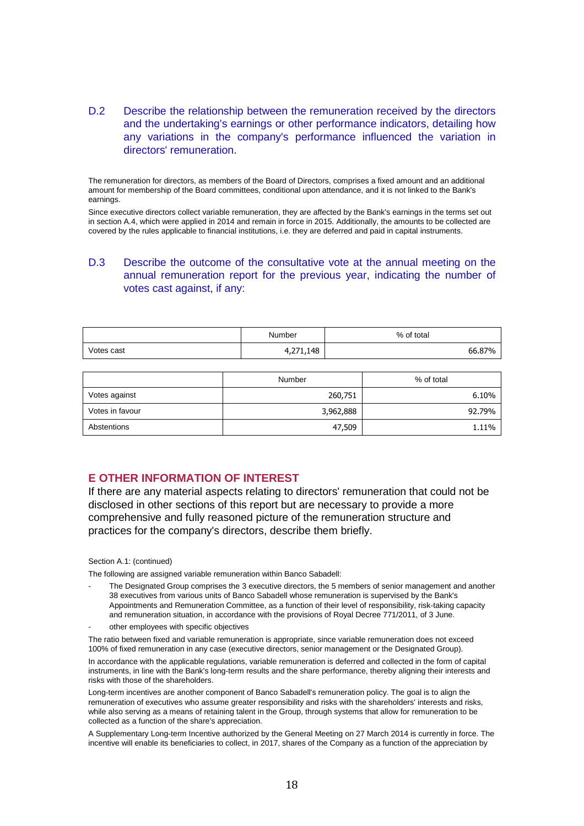### D.2 Describe the relationship between the remuneration received by the directors and the undertaking's earnings or other performance indicators, detailing how any variations in the company's performance influenced the variation in directors' remuneration.

The remuneration for directors, as members of the Board of Directors, comprises a fixed amount and an additional amount for membership of the Board committees, conditional upon attendance, and it is not linked to the Bank's earnings.

Since executive directors collect variable remuneration, they are affected by the Bank's earnings in the terms set out in section A.4, which were applied in 2014 and remain in force in 2015. Additionally, the amounts to be collected are covered by the rules applicable to financial institutions, i.e. they are deferred and paid in capital instruments.

### D.3 Describe the outcome of the consultative vote at the annual meeting on the annual remuneration report for the previous year, indicating the number of votes cast against, if any:

|            | Number    | % of total |
|------------|-----------|------------|
| Votes cast | 1,271,148 | 66.87%     |

|                 | Number    | % of total |
|-----------------|-----------|------------|
| Votes against   | 260,751   | 6.10%      |
| Votes in favour | 3,962,888 | 92.79%     |
| Abstentions     | 47,509    | 1.11%      |

### **E OTHER INFORMATION OF INTEREST**

If there are any material aspects relating to directors' remuneration that could not be disclosed in other sections of this report but are necessary to provide a more comprehensive and fully reasoned picture of the remuneration structure and practices for the company's directors, describe them briefly.

#### Section A.1: (continued)

The following are assigned variable remuneration within Banco Sabadell:

- The Designated Group comprises the 3 executive directors, the 5 members of senior management and another 38 executives from various units of Banco Sabadell whose remuneration is supervised by the Bank's Appointments and Remuneration Committee, as a function of their level of responsibility, risk-taking capacity and remuneration situation, in accordance with the provisions of Royal Decree 771/2011, of 3 June.
- other employees with specific objectives

The ratio between fixed and variable remuneration is appropriate, since variable remuneration does not exceed 100% of fixed remuneration in any case (executive directors, senior management or the Designated Group).

In accordance with the applicable regulations, variable remuneration is deferred and collected in the form of capital instruments, in line with the Bank's long-term results and the share performance, thereby aligning their interests and risks with those of the shareholders.

Long-term incentives are another component of Banco Sabadell's remuneration policy. The goal is to align the remuneration of executives who assume greater responsibility and risks with the shareholders' interests and risks, while also serving as a means of retaining talent in the Group, through systems that allow for remuneration to be collected as a function of the share's appreciation.

A Supplementary Long-term Incentive authorized by the General Meeting on 27 March 2014 is currently in force. The incentive will enable its beneficiaries to collect, in 2017, shares of the Company as a function of the appreciation by